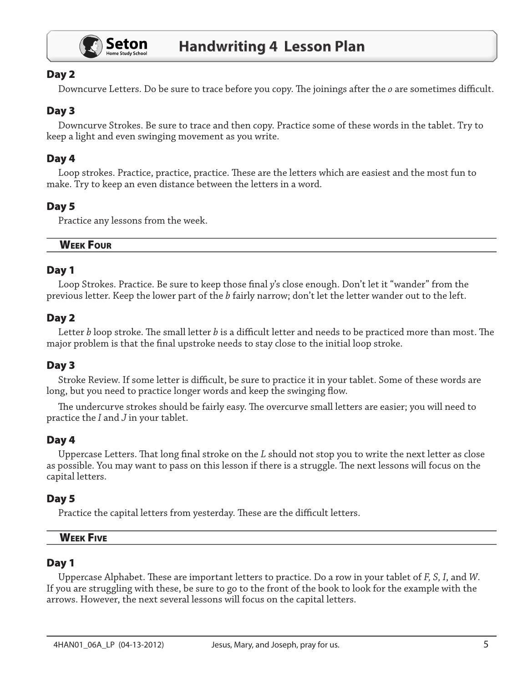

# Day 2

Downcurve Letters. Do be sure to trace before you copy. The joinings after the  $o$  are sometimes difficult.

# Day 3

Downcurve Strokes. Be sure to trace and then copy. Practice some of these words in the tablet. Try to keep a light and even swinging movement as you write.

# Day 4

Loop strokes. Practice, practice, practice. These are the letters which are easiest and the most fun to make. Try to keep an even distance between the letters in a word.

## Day 5

Practice any lessons from the week.

#### **WEEK FOUR**

#### Day 1

Loop Strokes. Practice. Be sure to keep those final y's close enough. Don't let it "wander" from the previous letter. Keep the lower part of the b fairly narrow; don't let the letter wander out to the left.

### Day 2

Letter b loop stroke. The small letter b is a difficult letter and needs to be practiced more than most. The major problem is that the final upstroke needs to stay close to the initial loop stroke.

# Day 3

Stroke Review. If some letter is difficult, be sure to practice it in your tablet. Some of these words are long, but you need to practice longer words and keep the swinging flow.

The undercurve strokes should be fairly easy. The overcurve small letters are easier; you will need to practice the  $I$  and  $J$  in your tablet.

### Day 4

Uppercase Letters. That long final stroke on the L should not stop you to write the next letter as close as possible. You may want to pass on this lesson if there is a struggle. The next lessons will focus on the capital letters.

### Day 5

Practice the capital letters from yesterday. These are the difficult letters.

| W<br>----<br>v c<br>u.<br>----<br>. . |  |  |
|---------------------------------------|--|--|
|                                       |  |  |

#### Day 1

Uppercase Alphabet. These are important letters to practice. Do a row in your tablet of  $F$ ,  $S$ ,  $I$ , and  $W$ . If you are struggling with these, be sure to go to the front of the book to look for the example with the arrows. However, the next several lessons will focus on the capital letters.